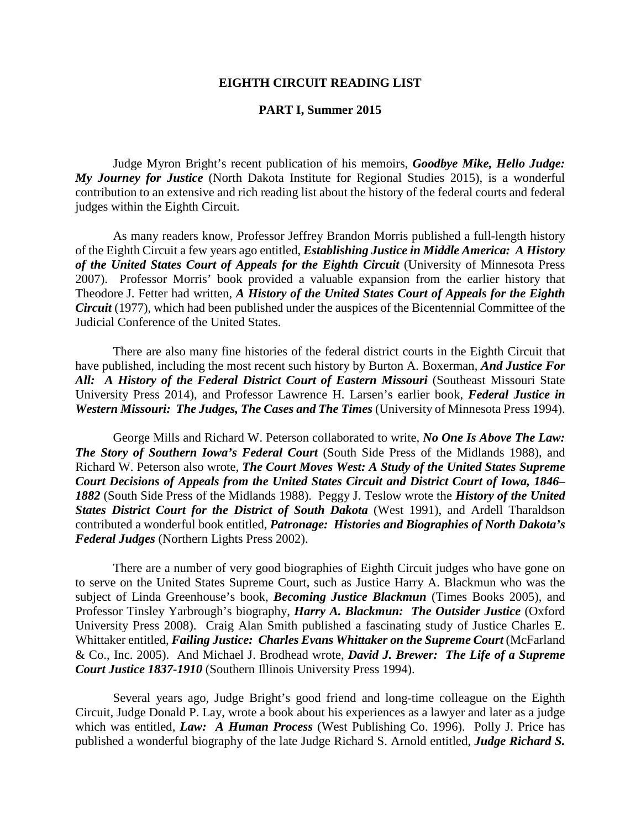## **EIGHTH CIRCUIT READING LIST**

## **PART I, Summer 2015**

Judge Myron Bright's recent publication of his memoirs, *Goodbye Mike, Hello Judge: My Journey for Justice* (North Dakota Institute for Regional Studies 2015), is a wonderful contribution to an extensive and rich reading list about the history of the federal courts and federal judges within the Eighth Circuit.

As many readers know, Professor Jeffrey Brandon Morris published a full-length history of the Eighth Circuit a few years ago entitled, *Establishing Justice in Middle America: A History of the United States Court of Appeals for the Eighth Circuit* (University of Minnesota Press 2007). Professor Morris' book provided a valuable expansion from the earlier history that Theodore J. Fetter had written, *A History of the United States Court of Appeals for the Eighth Circuit* (1977), which had been published under the auspices of the Bicentennial Committee of the Judicial Conference of the United States.

There are also many fine histories of the federal district courts in the Eighth Circuit that have published, including the most recent such history by Burton A. Boxerman, *And Justice For All: A History of the Federal District Court of Eastern Missouri* (Southeast Missouri State University Press 2014), and Professor Lawrence H. Larsen's earlier book, *Federal Justice in Western Missouri: The Judges, The Cases and The Times* (University of Minnesota Press 1994).

George Mills and Richard W. Peterson collaborated to write, *No One Is Above The Law: The Story of Southern Iowa's Federal Court* (South Side Press of the Midlands 1988), and Richard W. Peterson also wrote, *The Court Moves West: A Study of the United States Supreme Court Decisions of Appeals from the United States Circuit and District Court of Iowa, 1846– 1882* (South Side Press of the Midlands 1988). Peggy J. Teslow wrote the *History of the United States District Court for the District of South Dakota* (West 1991), and Ardell Tharaldson contributed a wonderful book entitled, *Patronage: Histories and Biographies of North Dakota's Federal Judges* (Northern Lights Press 2002).

There are a number of very good biographies of Eighth Circuit judges who have gone on to serve on the United States Supreme Court, such as Justice Harry A. Blackmun who was the subject of Linda Greenhouse's book, *Becoming Justice Blackmun* (Times Books 2005), and Professor Tinsley Yarbrough's biography, *Harry A. Blackmun: The Outsider Justice* (Oxford University Press 2008). Craig Alan Smith published a fascinating study of Justice Charles E. Whittaker entitled, *Failing Justice: Charles Evans Whittaker on the Supreme Court* (McFarland & Co., Inc. 2005). And Michael J. Brodhead wrote, *David J. Brewer: The Life of a Supreme Court Justice 1837-1910* (Southern Illinois University Press 1994).

Several years ago, Judge Bright's good friend and long-time colleague on the Eighth Circuit, Judge Donald P. Lay, wrote a book about his experiences as a lawyer and later as a judge which was entitled, *Law: A Human Process* (West Publishing Co. 1996). Polly J. Price has published a wonderful biography of the late Judge Richard S. Arnold entitled, *Judge Richard S.*